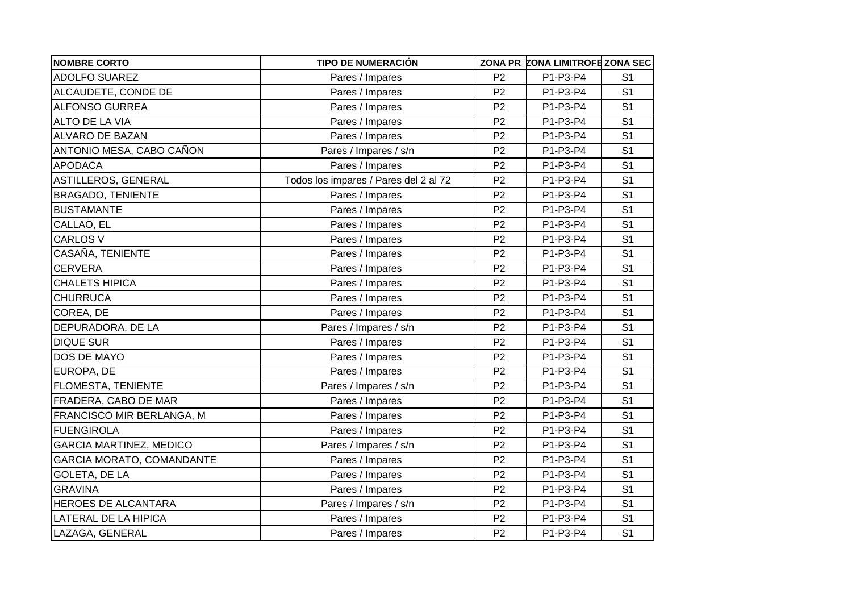| <b>NOMBRE CORTO</b>              | <b>TIPO DE NUMERACIÓN</b>             |                | ZONA PR ZONA LIMITROFE ZONA SEC |                |
|----------------------------------|---------------------------------------|----------------|---------------------------------|----------------|
| <b>ADOLFO SUAREZ</b>             | Pares / Impares                       | P <sub>2</sub> | P1-P3-P4                        | S <sub>1</sub> |
| ALCAUDETE, CONDE DE              | Pares / Impares                       | P <sub>2</sub> | P1-P3-P4                        | S <sub>1</sub> |
| <b>ALFONSO GURREA</b>            | Pares / Impares                       | P <sub>2</sub> | P1-P3-P4                        | S <sub>1</sub> |
| <b>ALTO DE LA VIA</b>            | Pares / Impares                       | P <sub>2</sub> | P1-P3-P4                        | S <sub>1</sub> |
| <b>ALVARO DE BAZAN</b>           | Pares / Impares                       | P <sub>2</sub> | P1-P3-P4                        | S <sub>1</sub> |
| ANTONIO MESA, CABO CAÑON         | Pares / Impares / s/n                 | P <sub>2</sub> | P1-P3-P4                        | S <sub>1</sub> |
| <b>APODACA</b>                   | Pares / Impares                       | P <sub>2</sub> | P1-P3-P4                        | S <sub>1</sub> |
| <b>ASTILLEROS, GENERAL</b>       | Todos los impares / Pares del 2 al 72 | P <sub>2</sub> | P1-P3-P4                        | S <sub>1</sub> |
| <b>BRAGADO, TENIENTE</b>         | Pares / Impares                       | P <sub>2</sub> | P1-P3-P4                        | S <sub>1</sub> |
| <b>BUSTAMANTE</b>                | Pares / Impares                       | P <sub>2</sub> | P1-P3-P4                        | S <sub>1</sub> |
| CALLAO, EL                       | Pares / Impares                       | P <sub>2</sub> | P1-P3-P4                        | S <sub>1</sub> |
| <b>CARLOS V</b>                  | Pares / Impares                       | P <sub>2</sub> | P1-P3-P4                        | S <sub>1</sub> |
| CASAÑA, TENIENTE                 | Pares / Impares                       | P <sub>2</sub> | P1-P3-P4                        | S <sub>1</sub> |
| <b>CERVERA</b>                   | Pares / Impares                       | P <sub>2</sub> | P1-P3-P4                        | S <sub>1</sub> |
| <b>CHALETS HIPICA</b>            | Pares / Impares                       | P <sub>2</sub> | P1-P3-P4                        | S <sub>1</sub> |
| <b>CHURRUCA</b>                  | Pares / Impares                       | P <sub>2</sub> | P1-P3-P4                        | S <sub>1</sub> |
| COREA, DE                        | Pares / Impares                       | P <sub>2</sub> | P1-P3-P4                        | S <sub>1</sub> |
| DEPURADORA, DE LA                | Pares / Impares / s/n                 | P <sub>2</sub> | P1-P3-P4                        | S <sub>1</sub> |
| <b>DIQUE SUR</b>                 | Pares / Impares                       | P <sub>2</sub> | P1-P3-P4                        | S <sub>1</sub> |
| DOS DE MAYO                      | Pares / Impares                       | P <sub>2</sub> | P1-P3-P4                        | S <sub>1</sub> |
| EUROPA, DE                       | Pares / Impares                       | P <sub>2</sub> | P1-P3-P4                        | S <sub>1</sub> |
| FLOMESTA, TENIENTE               | Pares / Impares / s/n                 | P <sub>2</sub> | P1-P3-P4                        | S <sub>1</sub> |
| FRADERA, CABO DE MAR             | Pares / Impares                       | P <sub>2</sub> | P1-P3-P4                        | S <sub>1</sub> |
| FRANCISCO MIR BERLANGA, M        | Pares / Impares                       | P <sub>2</sub> | P1-P3-P4                        | S <sub>1</sub> |
| <b>FUENGIROLA</b>                | Pares / Impares                       | P <sub>2</sub> | P1-P3-P4                        | S <sub>1</sub> |
| <b>GARCIA MARTINEZ, MEDICO</b>   | Pares / Impares / s/n                 | P <sub>2</sub> | P1-P3-P4                        | S <sub>1</sub> |
| <b>GARCIA MORATO, COMANDANTE</b> | Pares / Impares                       | P <sub>2</sub> | P1-P3-P4                        | S <sub>1</sub> |
| <b>GOLETA, DE LA</b>             | Pares / Impares                       | P <sub>2</sub> | P1-P3-P4                        | S <sub>1</sub> |
| <b>GRAVINA</b>                   | Pares / Impares                       | P <sub>2</sub> | P1-P3-P4                        | S <sub>1</sub> |
| HEROES DE ALCANTARA              | Pares / Impares / s/n                 | P <sub>2</sub> | P1-P3-P4                        | S <sub>1</sub> |
| LATERAL DE LA HIPICA             | Pares / Impares                       | P <sub>2</sub> | P1-P3-P4                        | S <sub>1</sub> |
| LAZAGA, GENERAL                  | Pares / Impares                       | P <sub>2</sub> | P1-P3-P4                        | S <sub>1</sub> |